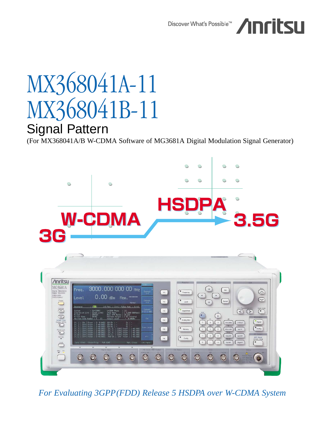Discover What's Possible™



# MX368041A-11 MX368041B-11 Signal Pattern

(For MX368041A/B W-CDMA Software of MG3681A Digital Modulation Signal Generator)



*For Evaluating 3GPP(FDD) Release 5 HSDPA over W-CDMA System*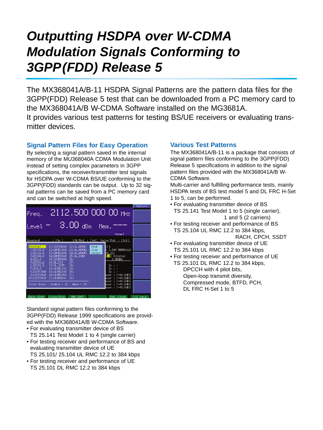## **Outputting HSDPA over W-CDMA Modulation Signals Conforming to 3GPP(FDD) Release 5**

The MX368041A/B-11 HSDPA Signal Patterns are the pattern data files for the 3GPP(FDD) Release 5 test that can be downloaded from a PC memory card to the MX368041A/B W-CDMA Software installed on the MG3681A. It provides various test patterns for testing BS/UE receivers or evaluating transmitter devices

## **Signal Pattern Files for Easy Operation**

By selecting a signal pattern saved in the internal memory of the MU368040A CDMA Modulation Unit instead of setting complex parameters in 3GPP specifications, the receiver/transmitter test signals for HSDPA over W-CDMA BS/UE conforming to the 3GPP(FDD) standards can be output. Up to 32 signal patterns can be saved from a PC memory card and can be switched at high speed.

|                                                       |                                                            |                                            |              |                                                                              | Pattern     |
|-------------------------------------------------------|------------------------------------------------------------|--------------------------------------------|--------------|------------------------------------------------------------------------------|-------------|
| Freq.                                                 |                                                            |                                            |              | $-2112.500000000$ MHz                                                        |             |
| Level $=$ 3.00 dBm.                                   |                                                            |                                            |              | Mem.<br>Normal                                                               |             |
|                                                       |                                                            |                                            |              |                                                                              |             |
| Baseband                                              | : [On ]                                                    |                                            |              | I/Q Mod. : [Int] Pulse Mod. : [Int]                                          |             |
| Internal<br>1:BS116_8                                 | 11:D32T48s0<br>$12:$ DAMR $18$ s $\theta$                  | $22:U$ AMR#1<br>23: UL_AMR#2               | Knob<br>Step | [1]<br>[ 3.840 000Mcps]                                                      |             |
| 2:BS132_8<br>3:BS164-8<br>$4:BS2\_8$<br>5:BS316_8     | 13:DAMR28s0<br>14:DAMR38s0<br>15:DISDN8s0<br>16:DL_C31     | 24: UL_AMR#3<br>$25:UL$ ISDN<br>26:<br>27: | Cursor       | [0.22]<br>[ <mark>0</mark> ] Internal<br>$-3.00dBm$                          |             |
| 6:BS332_8                                             | $17:0$ INTR                                                | 28:                                        |              | Sc<br>$\cdots$                                                               |             |
| $7:BS4\_8$<br>8:D32T18s0<br>9:032T2850<br>10:D32T38s0 | 18: ULRMC12k<br>19: ULRMC144<br>20:ULRMC384<br>21:ULRMC64k | 29:<br>30:<br>31:<br>32:                   |              | $\mathsf{Sc}$ : $=$<br>So:<br>$[-40.0dB]$<br>ower :<br>$[-40.0dB]$<br>ower : |             |
|                                                       | Total Share : Symbol = $22$ Wave = $45$                    |                                            |              | ower : [-40.0dB]<br>$[-40.0dB]$<br>ower :<br>[-40.0dB]<br>ower :             |             |
|                                                       | Data (CH4) Clock/Trig                                      | PUR CONT                                   |              | Ref. Clock                                                                   | $I/Q$ Input |

Standard signal pattern files conforming to the 3GPP(FDD) Release 1999 specifications are provided with the MX368041A/B W-CDMA Software.

- For evaluating transmitter device of BS TS 25.141 Test Model 1 to 4 (single carrier)
- For testing receiver and performance of BS and evaluating transmitter device of UE TS 25.101/ 25.104 UL RMC 12.2 to 384 kbps
- For testing receiver and performance of UE TS 25.101 DL RMC 12.2 to 384 kbps

## **Various Test Patterns**

The MX368041A/B-11 is a package that consists of signal pattern files conforming to the 3GPP(FDD) Release 5 specifications in addition to the signal pattern files provided with the MX368041A/B W-CDMA Software.

Multi-carrier and fulfilling performance tests, mainly HSDPA tests of BS test model 5 and DL FRC H-Set 1 to 5, can be performed.

- 
- For evaluating transmitter device of BS TS 25.141 Test Model 1 to 5 (single carrier), 1 and 5 (2 carriers)
- For testing receiver and performance of BS TS 25.104 UL RMC 12.2 to 384 kbps, RACH, CPCH, SSDT
- For evaluating transmitter device of UE TS 25.101 UL RMC 12.2 to 384 kbps
- For testing receiver and performance of UE

TS 25.101 DL RMC 12.2 to 384 kbps, DPCCH with 4 pilot bits, Open-loop transmit diversity, Compressed mode, BTFD, PCH, DL FRC H-Set 1 to 5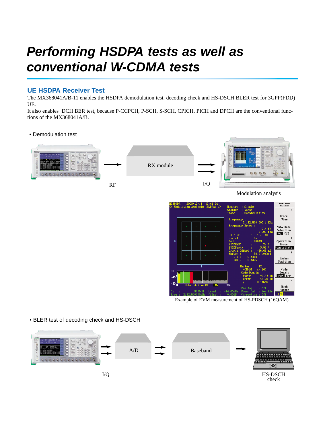## **Performing HSDPA tests as well as conventional W-CDMA tests**

## **UE HSDPA Receiver Test**

The MX368041A/B-11 enables the HSDPA demodulation test, decoding check and HS-DSCH BLER test for 3GPP(FDD) UE.

It also enables DCH BER test, because P-CCPCH, P-SCH, S-SCH, CPICH, PICH and DPCH are the conventional functions of the MX368041A/B.

## • Demodulation test



Nodulation<br>Analysis 609A - 2003/12/11 12:41:24<br>Modulation Analysis (HSDPA) > Trace<br>View  $\frac{1}{112.50}$ Auto Rate tion Operation  $\mathbf{Q}$ nstellate<br>nstellate Marker Position Code Domain<br>Eur Err Back Screen  $2<sub>3</sub>$ 

Example of EVM measurement of HS-PDSCH (16QAM)

### • BLER test of decoding check and HS-DSCH